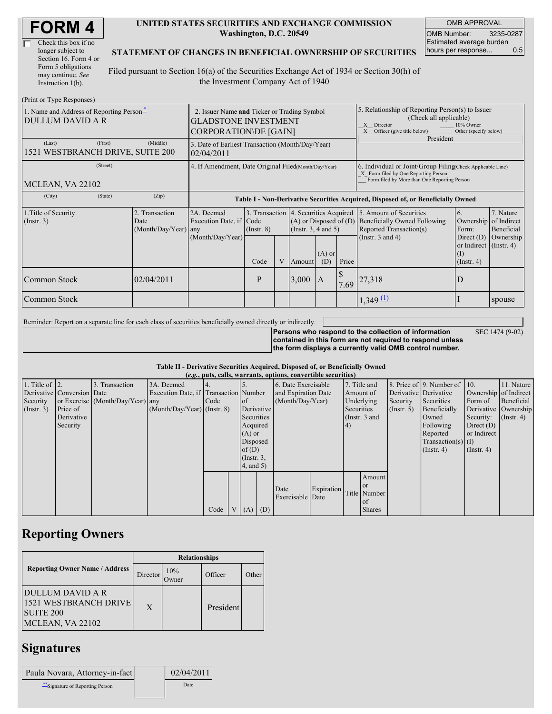| <b>FORM4</b> |
|--------------|
|--------------|

| Check this box if no  |
|-----------------------|
| longer subject to     |
| Section 16. Form 4 or |
| Form 5 obligations    |
| may continue. See     |
| Instruction 1(b).     |

#### **UNITED STATES SECURITIES AND EXCHANGE COMMISSION Washington, D.C. 20549**

OMB APPROVAL OMB Number: 3235-0287 Estimated average burden hours per response... 0.5

### **STATEMENT OF CHANGES IN BENEFICIAL OWNERSHIP OF SECURITIES**

Filed pursuant to Section 16(a) of the Securities Exchange Act of 1934 or Section 30(h) of the Investment Company Act of 1940

| (Print or Type Responses)                                           |                                                                                                            |                                                                                  |                  |   |                                                                                                 |                                                                                                                                                    |                                                                                                                                                                 |                                                                                    |                                                                      |                                        |
|---------------------------------------------------------------------|------------------------------------------------------------------------------------------------------------|----------------------------------------------------------------------------------|------------------|---|-------------------------------------------------------------------------------------------------|----------------------------------------------------------------------------------------------------------------------------------------------------|-----------------------------------------------------------------------------------------------------------------------------------------------------------------|------------------------------------------------------------------------------------|----------------------------------------------------------------------|----------------------------------------|
| 1. Name and Address of Reporting Person-<br><b>DULLUM DAVID A R</b> | 2. Issuer Name and Ticker or Trading Symbol<br><b>GLADSTONE INVESTMENT</b><br><b>CORPORATION\DE [GAIN]</b> |                                                                                  |                  |   |                                                                                                 |                                                                                                                                                    | 5. Relationship of Reporting Person(s) to Issuer<br>(Check all applicable)<br>10% Owner<br>Director<br>X<br>Officer (give title below)<br>Other (specify below) |                                                                                    |                                                                      |                                        |
| (First)<br>(Last)<br>1521 WESTBRANCH DRIVE, SUITE 200               | (Middle)                                                                                                   | 3. Date of Earliest Transaction (Month/Day/Year)<br>02/04/2011                   |                  |   |                                                                                                 |                                                                                                                                                    | President                                                                                                                                                       |                                                                                    |                                                                      |                                        |
| (Street)<br>MCLEAN, VA 22102                                        |                                                                                                            | 4. If Amendment, Date Original Filed(Month/Day/Year)                             |                  |   |                                                                                                 | 6. Individual or Joint/Group Filing Check Applicable Line)<br>X Form filed by One Reporting Person<br>Form filed by More than One Reporting Person |                                                                                                                                                                 |                                                                                    |                                                                      |                                        |
| (City)<br>(State)                                                   | (Zip)                                                                                                      | Table I - Non-Derivative Securities Acquired, Disposed of, or Beneficially Owned |                  |   |                                                                                                 |                                                                                                                                                    |                                                                                                                                                                 |                                                                                    |                                                                      |                                        |
| 1. Title of Security<br>(Insert. 3)                                 | 2. Transaction<br>Date<br>(Month/Day/Year) any                                                             | 2A. Deemed<br>Execution Date, if Code                                            | $($ Instr. 8 $)$ |   | 3. Transaction 4. Securities Acquired<br>$(A)$ or Disposed of $(D)$<br>(Instr. $3, 4$ and $5$ ) |                                                                                                                                                    |                                                                                                                                                                 | 5. Amount of Securities<br>Beneficially Owned Following<br>Reported Transaction(s) | 6.<br>Ownership<br>Form:                                             | 7. Nature<br>of Indirect<br>Beneficial |
|                                                                     |                                                                                                            | (Month/Day/Year)                                                                 | Code             | V | Amount                                                                                          | $(A)$ or<br>(D)                                                                                                                                    | Price                                                                                                                                                           | (Instr. $3$ and $4$ )                                                              | Direct $(D)$<br>or Indirect $($ Instr. 4)<br>(I)<br>$($ Instr. 4 $)$ | Ownership                              |
| Common Stock                                                        | 02/04/2011                                                                                                 |                                                                                  | P                |   | 3,000                                                                                           | $\overline{A}$                                                                                                                                     | 7.69                                                                                                                                                            | 27,318                                                                             | D                                                                    |                                        |
| Common Stock                                                        |                                                                                                            |                                                                                  |                  |   |                                                                                                 |                                                                                                                                                    |                                                                                                                                                                 | $1,349 \, 11$                                                                      |                                                                      | spouse                                 |

Reminder: Report on a separate line for each class of securities beneficially owned directly or indirectly.

**Persons who respond to the collection of information**

**contained in this form are not required to respond unless the form displays a currently valid OMB control number.**

SEC 1474 (9-02)

|  |  |  | Table II - Derivative Securities Acquired, Disposed of, or Beneficially Owned |  |
|--|--|--|-------------------------------------------------------------------------------|--|
|  |  |  |                                                                               |  |

| (e.g., puts, calls, warrants, options, convertible securities) |                            |                                  |                                       |      |                |                 |                     |                     |            |                 |                       |                  |                              |              |                      |
|----------------------------------------------------------------|----------------------------|----------------------------------|---------------------------------------|------|----------------|-----------------|---------------------|---------------------|------------|-----------------|-----------------------|------------------|------------------------------|--------------|----------------------|
| 1. Title of $\vert$ 2.                                         |                            | 3. Transaction                   | 3A. Deemed                            |      |                |                 |                     | 6. Date Exercisable |            |                 | 7. Title and          |                  | 8. Price of 9. Number of 10. |              | 11. Nature           |
|                                                                | Derivative Conversion Date |                                  | Execution Date, if Transaction Number |      |                |                 | and Expiration Date |                     | Amount of  |                 | Derivative Derivative |                  | Ownership of Indirect        |              |                      |
| Security                                                       |                            | or Exercise (Month/Day/Year) any |                                       | Code |                | $\circ$ f       | (Month/Day/Year)    |                     |            | Underlying      | Security              | Securities       | Form of                      | Beneficial   |                      |
| (Insert. 3)                                                    | Price of                   |                                  | $(Month/Day/Year)$ (Instr. 8)         |      |                | Derivative      |                     |                     |            | Securities      |                       | $($ Instr. 5)    | Beneficially                 |              | Derivative Ownership |
|                                                                | Derivative                 |                                  |                                       |      |                | Securities      |                     |                     |            | (Instr. $3$ and |                       |                  | Owned                        | Security:    | $($ Instr. 4 $)$     |
|                                                                | Security                   |                                  |                                       |      |                | Acquired        |                     |                     |            | (4)             |                       |                  | Following                    | Direct $(D)$ |                      |
|                                                                |                            |                                  |                                       |      |                | $(A)$ or        |                     |                     |            |                 |                       |                  | Reported                     | or Indirect  |                      |
|                                                                |                            |                                  |                                       |      |                |                 | Disposed            |                     |            |                 |                       |                  | Transaction(s) $(I)$         |              |                      |
|                                                                |                            |                                  |                                       |      |                | of $(D)$        |                     |                     |            |                 |                       | $($ Instr. 4 $)$ | $($ Instr. 4 $)$             |              |                      |
|                                                                |                            |                                  |                                       |      |                | $($ Instr. $3,$ |                     |                     |            |                 |                       |                  |                              |              |                      |
|                                                                |                            |                                  |                                       |      |                | 4, and 5)       |                     |                     |            |                 |                       |                  |                              |              |                      |
|                                                                |                            |                                  |                                       |      |                |                 |                     |                     |            |                 | Amount                |                  |                              |              |                      |
|                                                                |                            |                                  |                                       |      |                |                 |                     | Date                | Expiration |                 | <sub>or</sub>         |                  |                              |              |                      |
|                                                                |                            |                                  |                                       |      |                |                 |                     | Exercisable Date    |            |                 | Title Number          |                  |                              |              |                      |
|                                                                |                            |                                  |                                       |      |                |                 |                     |                     |            |                 | of                    |                  |                              |              |                      |
|                                                                |                            |                                  |                                       | Code | V <sub>1</sub> | $(A)$ $(D)$     |                     |                     |            |                 | <b>Shares</b>         |                  |                              |              |                      |

## **Reporting Owners**

|                                                                                                 | <b>Relationships</b> |              |           |       |  |  |  |
|-------------------------------------------------------------------------------------------------|----------------------|--------------|-----------|-------|--|--|--|
| <b>Reporting Owner Name / Address</b>                                                           | Director             | 10%<br>Dwner | Officer   | Other |  |  |  |
| <b>DULLUM DAVID A R</b><br><b>1521 WESTBRANCH DRIVE</b><br><b>SUITE 200</b><br>MCLEAN, VA 22102 | X                    |              | President |       |  |  |  |

## **Signatures**

| Paula Novara, Attorney-in-fact   | 02/04/2011 |
|----------------------------------|------------|
| ** Signature of Reporting Person | Date       |